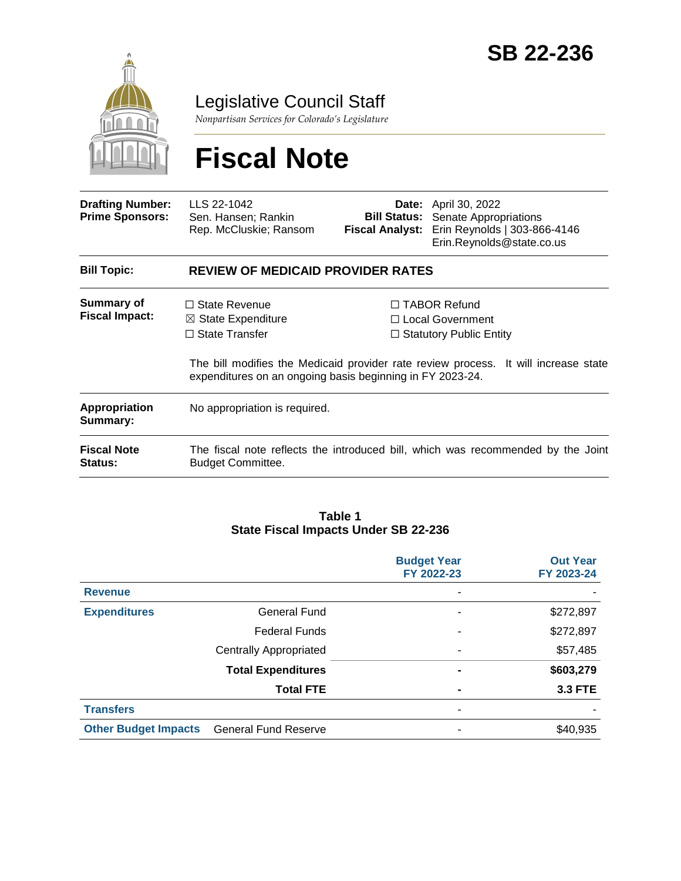

Legislative Council Staff

*Nonpartisan Services for Colorado's Legislature*

# **Fiscal Note**

| <b>Drafting Number:</b><br><b>Prime Sponsors:</b> | LLS 22-1042<br>Sen. Hansen; Rankin<br>Rep. McCluskie; Ransom                                                                                | <b>Fiscal Analyst:</b> | <b>Date:</b> April 30, 2022<br><b>Bill Status:</b> Senate Appropriations<br>Erin Reynolds   303-866-4146<br>Erin.Reynolds@state.co.us                              |  |  |
|---------------------------------------------------|---------------------------------------------------------------------------------------------------------------------------------------------|------------------------|--------------------------------------------------------------------------------------------------------------------------------------------------------------------|--|--|
| <b>Bill Topic:</b>                                | <b>REVIEW OF MEDICAID PROVIDER RATES</b>                                                                                                    |                        |                                                                                                                                                                    |  |  |
| <b>Summary of</b><br><b>Fiscal Impact:</b>        | $\Box$ State Revenue<br>$\boxtimes$ State Expenditure<br>$\Box$ State Transfer<br>expenditures on an ongoing basis beginning in FY 2023-24. |                        | $\Box$ TABOR Refund<br>□ Local Government<br>$\Box$ Statutory Public Entity<br>The bill modifies the Medicaid provider rate review process. It will increase state |  |  |
| Appropriation<br>Summary:                         | No appropriation is required.                                                                                                               |                        |                                                                                                                                                                    |  |  |
| <b>Fiscal Note</b><br><b>Status:</b>              | The fiscal note reflects the introduced bill, which was recommended by the Joint<br><b>Budget Committee.</b>                                |                        |                                                                                                                                                                    |  |  |

#### **Table 1 State Fiscal Impacts Under SB 22-236**

|                             |                               | <b>Budget Year</b><br>FY 2022-23 | <b>Out Year</b><br>FY 2023-24 |
|-----------------------------|-------------------------------|----------------------------------|-------------------------------|
| <b>Revenue</b>              |                               |                                  |                               |
| <b>Expenditures</b>         | <b>General Fund</b>           | ۰                                | \$272,897                     |
|                             | <b>Federal Funds</b>          | ۰                                | \$272,897                     |
|                             | <b>Centrally Appropriated</b> | $\overline{\phantom{a}}$         | \$57,485                      |
|                             | <b>Total Expenditures</b>     | ۰                                | \$603,279                     |
|                             | <b>Total FTE</b>              | $\blacksquare$                   | <b>3.3 FTE</b>                |
| <b>Transfers</b>            |                               | ۰                                |                               |
| <b>Other Budget Impacts</b> | <b>General Fund Reserve</b>   | ۰                                | \$40,935                      |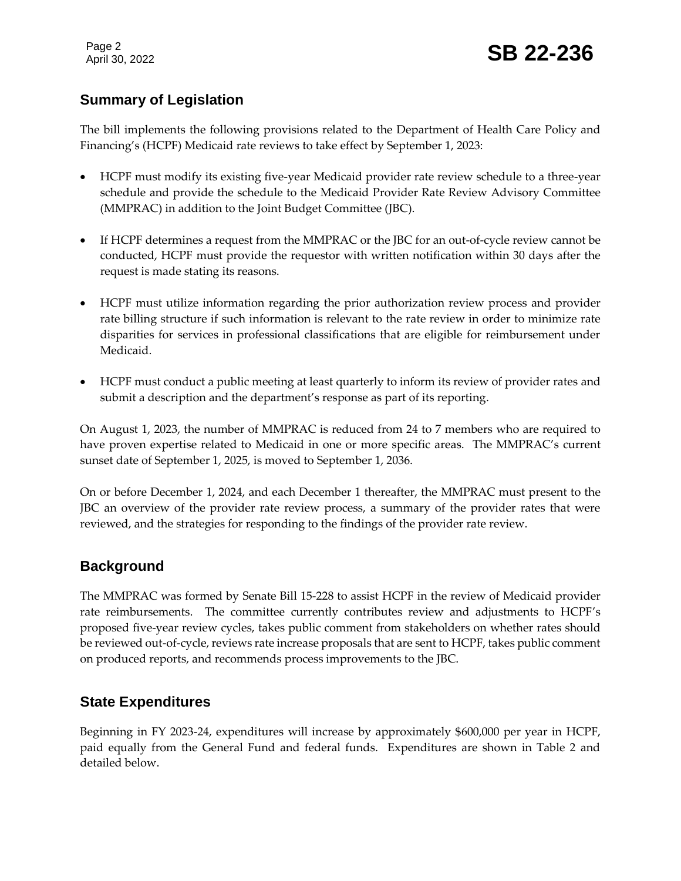Page 2

# **Summary of Legislation**

The bill implements the following provisions related to the Department of Health Care Policy and Financing's (HCPF) Medicaid rate reviews to take effect by September 1, 2023:

- HCPF must modify its existing five-year Medicaid provider rate review schedule to a three-year schedule and provide the schedule to the Medicaid Provider Rate Review Advisory Committee (MMPRAC) in addition to the Joint Budget Committee (JBC).
- If HCPF determines a request from the MMPRAC or the JBC for an out-of-cycle review cannot be conducted, HCPF must provide the requestor with written notification within 30 days after the request is made stating its reasons.
- HCPF must utilize information regarding the prior authorization review process and provider rate billing structure if such information is relevant to the rate review in order to minimize rate disparities for services in professional classifications that are eligible for reimbursement under Medicaid.
- HCPF must conduct a public meeting at least quarterly to inform its review of provider rates and submit a description and the department's response as part of its reporting.

On August 1, 2023, the number of MMPRAC is reduced from 24 to 7 members who are required to have proven expertise related to Medicaid in one or more specific areas. The MMPRAC's current sunset date of September 1, 2025, is moved to September 1, 2036.

On or before December 1, 2024, and each December 1 thereafter, the MMPRAC must present to the JBC an overview of the provider rate review process, a summary of the provider rates that were reviewed, and the strategies for responding to the findings of the provider rate review.

#### **Background**

The MMPRAC was formed by Senate Bill 15-228 to assist HCPF in the review of Medicaid provider rate reimbursements. The committee currently contributes review and adjustments to HCPF's proposed five-year review cycles, takes public comment from stakeholders on whether rates should be reviewed out-of-cycle, reviews rate increase proposals that are sent to HCPF, takes public comment on produced reports, and recommends process improvements to the JBC.

#### **State Expenditures**

Beginning in FY 2023-24, expenditures will increase by approximately \$600,000 per year in HCPF, paid equally from the General Fund and federal funds. Expenditures are shown in Table 2 and detailed below.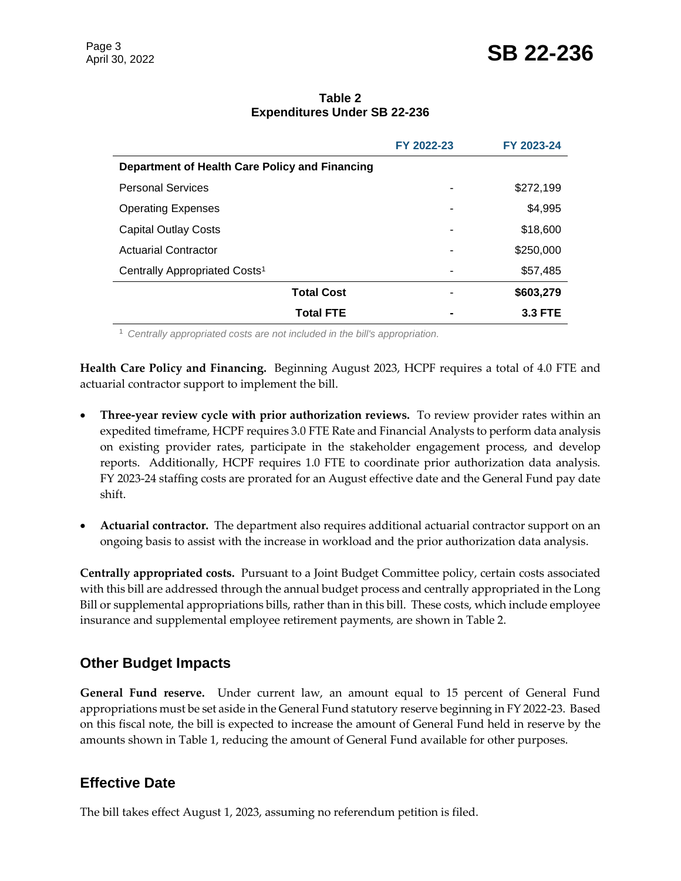| Table 2                             |  |  |  |  |  |  |
|-------------------------------------|--|--|--|--|--|--|
| <b>Expenditures Under SB 22-236</b> |  |  |  |  |  |  |

|                                                | FY 2022-23 | FY 2023-24     |
|------------------------------------------------|------------|----------------|
| Department of Health Care Policy and Financing |            |                |
| <b>Personal Services</b>                       |            | \$272,199      |
| <b>Operating Expenses</b>                      |            | \$4,995        |
| <b>Capital Outlay Costs</b>                    |            | \$18,600       |
| <b>Actuarial Contractor</b>                    |            | \$250,000      |
| Centrally Appropriated Costs <sup>1</sup>      | -          | \$57,485       |
| <b>Total Cost</b>                              |            | \$603,279      |
| <b>Total FTE</b>                               |            | <b>3.3 FTE</b> |

<sup>1</sup> *Centrally appropriated costs are not included in the bill's appropriation.*

**Health Care Policy and Financing.** Beginning August 2023, HCPF requires a total of 4.0 FTE and actuarial contractor support to implement the bill.

- **Three-year review cycle with prior authorization reviews.** To review provider rates within an expedited timeframe, HCPF requires 3.0 FTE Rate and Financial Analysts to perform data analysis on existing provider rates, participate in the stakeholder engagement process, and develop reports. Additionally, HCPF requires 1.0 FTE to coordinate prior authorization data analysis. FY 2023-24 staffing costs are prorated for an August effective date and the General Fund pay date shift.
- **Actuarial contractor.** The department also requires additional actuarial contractor support on an ongoing basis to assist with the increase in workload and the prior authorization data analysis.

**Centrally appropriated costs.** Pursuant to a Joint Budget Committee policy, certain costs associated with this bill are addressed through the annual budget process and centrally appropriated in the Long Bill or supplemental appropriations bills, rather than in this bill. These costs, which include employee insurance and supplemental employee retirement payments, are shown in Table 2.

#### **Other Budget Impacts**

**General Fund reserve.** Under current law, an amount equal to 15 percent of General Fund appropriations must be set aside in the General Fund statutory reserve beginning in FY 2022-23. Based on this fiscal note, the bill is expected to increase the amount of General Fund held in reserve by the amounts shown in Table 1, reducing the amount of General Fund available for other purposes.

#### **Effective Date**

The bill takes effect August 1, 2023, assuming no referendum petition is filed.